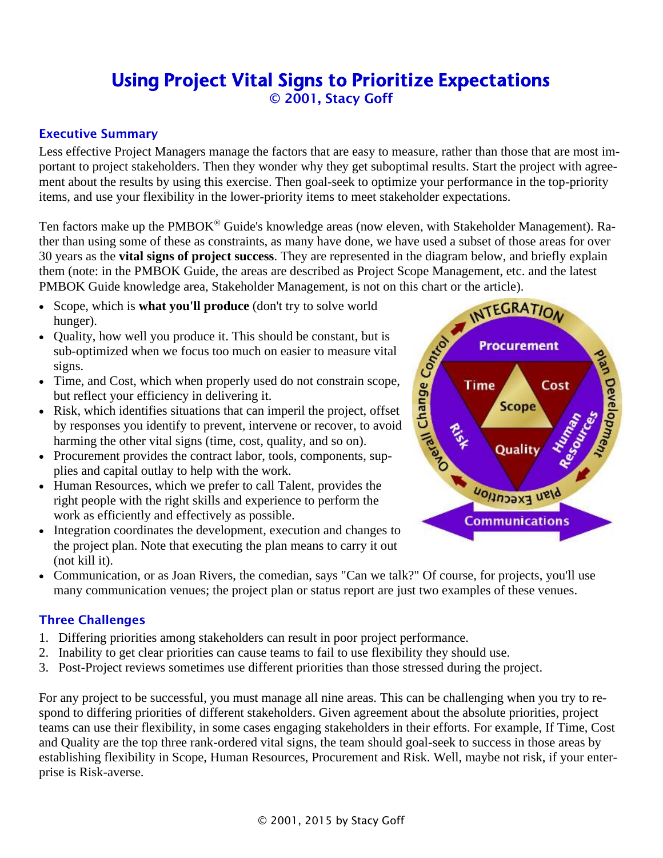# Using Project Vital Signs to Prioritize Expectations

© 2001, Stacy Goff

### Executive Summary

Less effective Project Managers manage the factors that are easy to measure, rather than those that are most important to project stakeholders. Then they wonder why they get suboptimal results. Start the project with agreement about the results by using this exercise. Then goal-seek to optimize your performance in the top-priority items, and use your flexibility in the lower-priority items to meet stakeholder expectations.

Ten factors make up the PMBOK<sup>®</sup> Guide's knowledge areas (now eleven, with Stakeholder Management). Rather than using some of these as constraints, as many have done, we have used a subset of those areas for over 30 years as the **vital signs of project success**. They are represented in the diagram below, and briefly explain them (note: in the PMBOK Guide, the areas are described as Project Scope Management, etc. and the latest PMBOK Guide knowledge area, Stakeholder Management, is not on this chart or the article).

- Scope, which is **what you'll produce** (don't try to solve world hunger).
- Quality, how well you produce it. This should be constant, but is sub-optimized when we focus too much on easier to measure vital signs.
- Time, and Cost, which when properly used do not constrain scope, but reflect your efficiency in delivering it.
- Risk, which identifies situations that can imperil the project, offset by responses you identify to prevent, intervene or recover, to avoid harming the other vital signs (time, cost, quality, and so on).
- Procurement provides the contract labor, tools, components, supplies and capital outlay to help with the work.
- Human Resources, which we prefer to call Talent, provides the right people with the right skills and experience to perform the work as efficiently and effectively as possible.
- Integration coordinates the development, execution and changes to the project plan. Note that executing the plan means to carry it out (not kill it).



**Time** 

INTEGRATION

**Procurement** 

Cost

• Communication, or as Joan Rivers, the comedian, says "Can we talk?" Of course, for projects, you'll use many communication venues; the project plan or status report are just two examples of these venues.

## Three Challenges

- 1. Differing priorities among stakeholders can result in poor project performance.
- 2. Inability to get clear priorities can cause teams to fail to use flexibility they should use.
- 3. Post-Project reviews sometimes use different priorities than those stressed during the project.

For any project to be successful, you must manage all nine areas. This can be challenging when you try to respond to differing priorities of different stakeholders. Given agreement about the absolute priorities, project teams can use their flexibility, in some cases engaging stakeholders in their efforts. For example, If Time, Cost and Quality are the top three rank-ordered vital signs, the team should goal-seek to success in those areas by establishing flexibility in Scope, Human Resources, Procurement and Risk. Well, maybe not risk, if your enterprise is Risk-averse.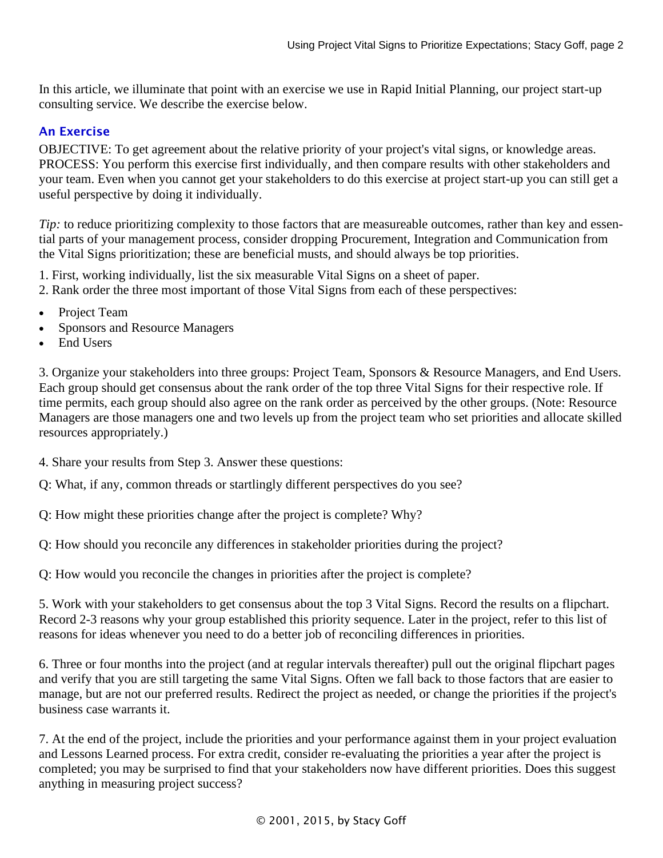In this article, we illuminate that point with an exercise we use in Rapid Initial Planning, our project start-up consulting service. We describe the exercise below.

#### An Exercise

OBJECTIVE: To get agreement about the relative priority of your project's vital signs, or knowledge areas. PROCESS: You perform this exercise first individually, and then compare results with other stakeholders and your team. Even when you cannot get your stakeholders to do this exercise at project start-up you can still get a useful perspective by doing it individually.

*Tip*: to reduce prioritizing complexity to those factors that are measureable outcomes, rather than key and essential parts of your management process, consider dropping Procurement, Integration and Communication from the Vital Signs prioritization; these are beneficial musts, and should always be top priorities.

1. First, working individually, list the six measurable Vital Signs on a sheet of paper.

2. Rank order the three most important of those Vital Signs from each of these perspectives:

- Project Team
- Sponsors and Resource Managers
- End Users

3. Organize your stakeholders into three groups: Project Team, Sponsors & Resource Managers, and End Users. Each group should get consensus about the rank order of the top three Vital Signs for their respective role. If time permits, each group should also agree on the rank order as perceived by the other groups. (Note: Resource Managers are those managers one and two levels up from the project team who set priorities and allocate skilled resources appropriately.)

4. Share your results from Step 3. Answer these questions:

Q: What, if any, common threads or startlingly different perspectives do you see?

Q: How might these priorities change after the project is complete? Why?

Q: How should you reconcile any differences in stakeholder priorities during the project?

Q: How would you reconcile the changes in priorities after the project is complete?

5. Work with your stakeholders to get consensus about the top 3 Vital Signs. Record the results on a flipchart. Record 2-3 reasons why your group established this priority sequence. Later in the project, refer to this list of reasons for ideas whenever you need to do a better job of reconciling differences in priorities.

6. Three or four months into the project (and at regular intervals thereafter) pull out the original flipchart pages and verify that you are still targeting the same Vital Signs. Often we fall back to those factors that are easier to manage, but are not our preferred results. Redirect the project as needed, or change the priorities if the project's business case warrants it.

7. At the end of the project, include the priorities and your performance against them in your project evaluation and Lessons Learned process. For extra credit, consider re-evaluating the priorities a year after the project is completed; you may be surprised to find that your stakeholders now have different priorities. Does this suggest anything in measuring project success?